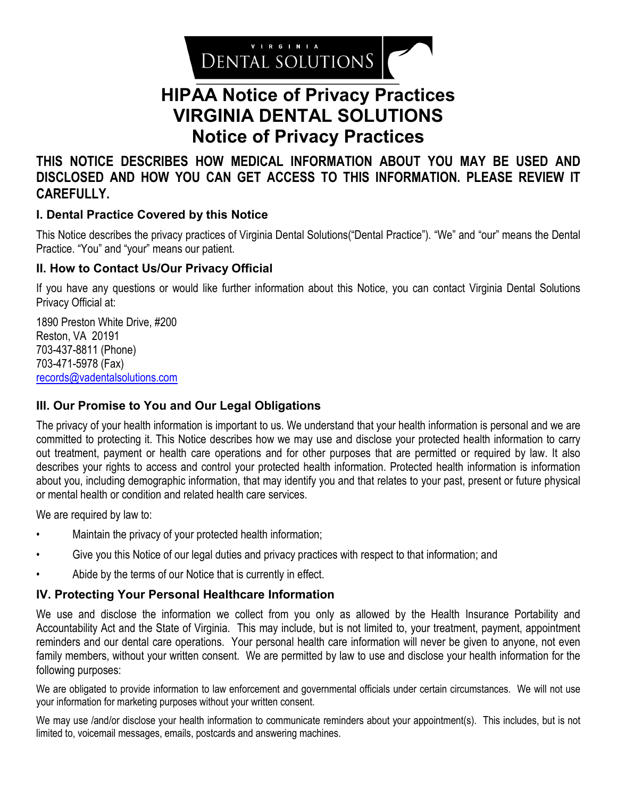

# **HIPAA Notice of Privacy Practices VIRGINIA DENTAL SOLUTIONS Notice of Privacy Practices**

**THIS NOTICE DESCRIBES HOW MEDICAL INFORMATION ABOUT YOU MAY BE USED AND DISCLOSED AND HOW YOU CAN GET ACCESS TO THIS INFORMATION. PLEASE REVIEW IT CAREFULLY.**

# **I. Dental Practice Covered by this Notice**

This Notice describes the privacy practices of Virginia Dental Solutions("Dental Practice"). "We" and "our" means the Dental Practice. "You" and "your" means our patient.

## **II. How to Contact Us/Our Privacy Official**

If you have any questions or would like further information about this Notice, you can contact Virginia Dental Solutions Privacy Official at:

1890 Preston White Drive, #200 Reston, VA 20191 703-437-8811 (Phone) 703-471-5978 (Fax) [records@vadentalsolutions.com](mailto:records@vadentalsolutions.com)

## **III. Our Promise to You and Our Legal Obligations**

The privacy of your health information is important to us. We understand that your health information is personal and we are committed to protecting it. This Notice describes how we may use and disclose your protected health information to carry out treatment, payment or health care operations and for other purposes that are permitted or required by law. It also describes your rights to access and control your protected health information. Protected health information is information about you, including demographic information, that may identify you and that relates to your past, present or future physical or mental health or condition and related health care services.

We are required by law to:

- Maintain the privacy of your protected health information;
- Give you this Notice of our legal duties and privacy practices with respect to that information; and
- Abide by the terms of our Notice that is currently in effect.

## **IV. Protecting Your Personal Healthcare Information**

We use and disclose the information we collect from you only as allowed by the Health Insurance Portability and Accountability Act and the State of Virginia. This may include, but is not limited to, your treatment, payment, appointment reminders and our dental care operations. Your personal health care information will never be given to anyone, not even family members, without your written consent. We are permitted by law to use and disclose your health information for the following purposes:

We are obligated to provide information to law enforcement and governmental officials under certain circumstances. We will not use your information for marketing purposes without your written consent.

We may use /and/or disclose your health information to communicate reminders about your appointment(s). This includes, but is not limited to, voicemail messages, emails, postcards and answering machines.